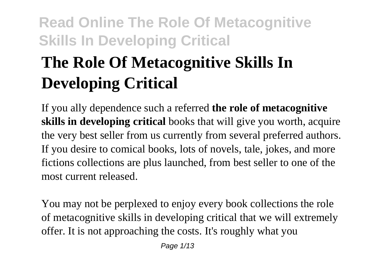# **The Role Of Metacognitive Skills In Developing Critical**

If you ally dependence such a referred **the role of metacognitive skills in developing critical** books that will give you worth, acquire the very best seller from us currently from several preferred authors. If you desire to comical books, lots of novels, tale, jokes, and more fictions collections are plus launched, from best seller to one of the most current released.

You may not be perplexed to enjoy every book collections the role of metacognitive skills in developing critical that we will extremely offer. It is not approaching the costs. It's roughly what you

Page 1/13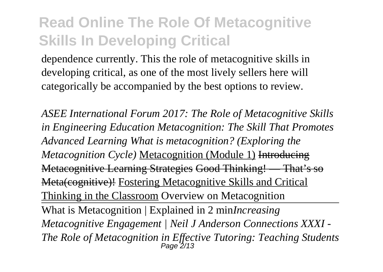dependence currently. This the role of metacognitive skills in developing critical, as one of the most lively sellers here will categorically be accompanied by the best options to review.

*ASEE International Forum 2017: The Role of Metacognitive Skills in Engineering Education Metacognition: The Skill That Promotes Advanced Learning What is metacognition? (Exploring the Metacognition Cycle)* Metacognition (Module 1) Introducing Metacognitive Learning Strategies Good Thinking! — That's so Meta(cognitive)! Fostering Metacognitive Skills and Critical Thinking in the Classroom Overview on Metacognition What is Metacognition | Explained in 2 min*Increasing Metacognitive Engagement | Neil J Anderson Connections XXXI - The Role of Metacognition in Effective Tutoring: Teaching Students* Page 2/13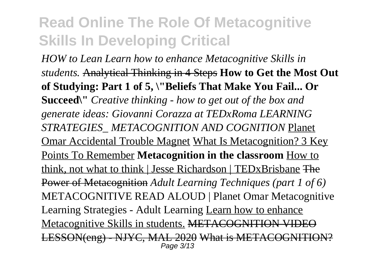*HOW to Lean Learn how to enhance Metacognitive Skills in students.* Analytical Thinking in 4 Steps **How to Get the Most Out of Studying: Part 1 of 5, \"Beliefs That Make You Fail... Or Succeed\"** *Creative thinking - how to get out of the box and generate ideas: Giovanni Corazza at TEDxRoma LEARNING STRATEGIES\_ METACOGNITION AND COGNITION* Planet Omar Accidental Trouble Magnet What Is Metacognition? 3 Key Points To Remember **Metacognition in the classroom** How to think, not what to think | Jesse Richardson | TEDxBrisbane The Power of Metacognition *Adult Learning Techniques (part 1 of 6)* METACOGNITIVE READ ALOUD | Planet Omar Metacognitive Learning Strategies - Adult Learning Learn how to enhance Metacognitive Skills in students. METACOGNITION VIDEO LESSON(eng) - NJYC, MAL 2020 What is METACOGNITION? Page 3/13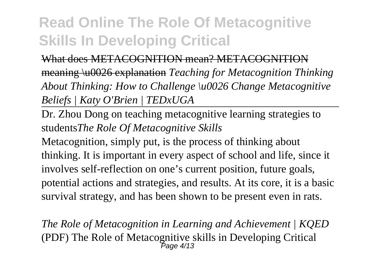#### What does METACOGNITION mean? METACOGNITION meaning \u0026 explanation *Teaching for Metacognition Thinking About Thinking: How to Challenge \u0026 Change Metacognitive Beliefs | Katy O'Brien | TEDxUGA*

Dr. Zhou Dong on teaching metacognitive learning strategies to students*The Role Of Metacognitive Skills*

Metacognition, simply put, is the process of thinking about thinking. It is important in every aspect of school and life, since it involves self-reflection on one's current position, future goals, potential actions and strategies, and results. At its core, it is a basic survival strategy, and has been shown to be present even in rats.

*The Role of Metacognition in Learning and Achievement | KQED* (PDF) The Role of Metacognitive skills in Developing Critical Page 4/13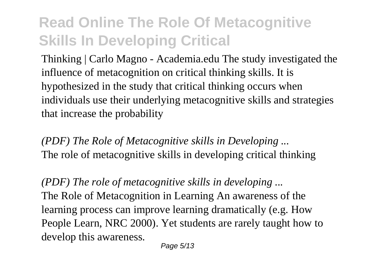Thinking | Carlo Magno - Academia.edu The study investigated the influence of metacognition on critical thinking skills. It is hypothesized in the study that critical thinking occurs when individuals use their underlying metacognitive skills and strategies that increase the probability

*(PDF) The Role of Metacognitive skills in Developing ...* The role of metacognitive skills in developing critical thinking

*(PDF) The role of metacognitive skills in developing ...* The Role of Metacognition in Learning An awareness of the learning process can improve learning dramatically (e.g. How People Learn, NRC 2000). Yet students are rarely taught how to develop this awareness.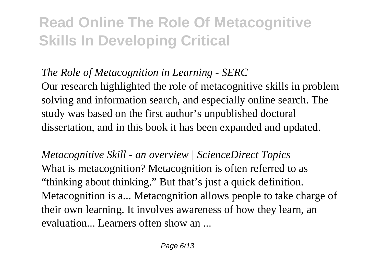#### *The Role of Metacognition in Learning - SERC*

Our research highlighted the role of metacognitive skills in problem solving and information search, and especially online search. The study was based on the first author's unpublished doctoral dissertation, and in this book it has been expanded and updated.

*Metacognitive Skill - an overview | ScienceDirect Topics* What is metacognition? Metacognition is often referred to as "thinking about thinking." But that's just a quick definition. Metacognition is a... Metacognition allows people to take charge of their own learning. It involves awareness of how they learn, an evaluation... Learners often show an ...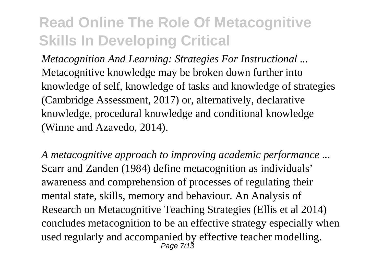*Metacognition And Learning: Strategies For Instructional ...* Metacognitive knowledge may be broken down further into knowledge of self, knowledge of tasks and knowledge of strategies (Cambridge Assessment, 2017) or, alternatively, declarative knowledge, procedural knowledge and conditional knowledge (Winne and Azavedo, 2014).

*A metacognitive approach to improving academic performance ...* Scarr and Zanden (1984) define metacognition as individuals' awareness and comprehension of processes of regulating their mental state, skills, memory and behaviour. An Analysis of Research on Metacognitive Teaching Strategies (Ellis et al 2014) concludes metacognition to be an effective strategy especially when used regularly and accompanied by effective teacher modelling. Page 7/13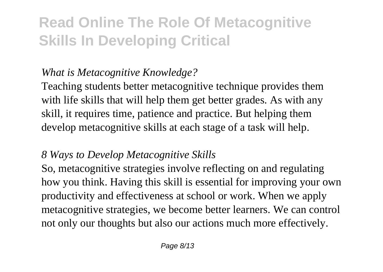#### *What is Metacognitive Knowledge?*

Teaching students better metacognitive technique provides them with life skills that will help them get better grades. As with any skill, it requires time, patience and practice. But helping them develop metacognitive skills at each stage of a task will help.

#### *8 Ways to Develop Metacognitive Skills*

So, metacognitive strategies involve reflecting on and regulating how you think. Having this skill is essential for improving your own productivity and effectiveness at school or work. When we apply metacognitive strategies, we become better learners. We can control not only our thoughts but also our actions much more effectively.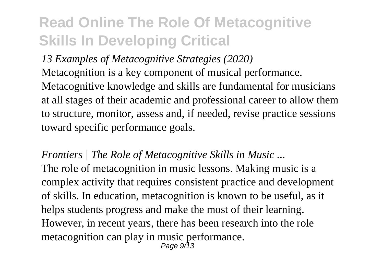*13 Examples of Metacognitive Strategies (2020)* Metacognition is a key component of musical performance. Metacognitive knowledge and skills are fundamental for musicians at all stages of their academic and professional career to allow them to structure, monitor, assess and, if needed, revise practice sessions toward specific performance goals.

*Frontiers | The Role of Metacognitive Skills in Music ...* The role of metacognition in music lessons. Making music is a complex activity that requires consistent practice and development of skills. In education, metacognition is known to be useful, as it helps students progress and make the most of their learning. However, in recent years, there has been research into the role metacognition can play in music performance. Page 9/13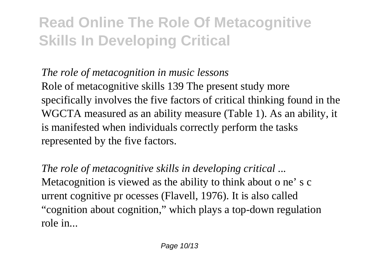*The role of metacognition in music lessons*

Role of metacognitive skills 139 The present study more specifically involves the five factors of critical thinking found in the WGCTA measured as an ability measure (Table 1). As an ability, it is manifested when individuals correctly perform the tasks represented by the five factors.

*The role of metacognitive skills in developing critical ...* Metacognition is viewed as the ability to think about o ne' s c urrent cognitive pr ocesses (Flavell, 1976). It is also called "cognition about cognition," which plays a top-down regulation role in...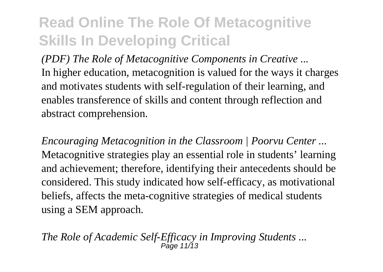*(PDF) The Role of Metacognitive Components in Creative ...* In higher education, metacognition is valued for the ways it charges and motivates students with self-regulation of their learning, and enables transference of skills and content through reflection and abstract comprehension.

*Encouraging Metacognition in the Classroom | Poorvu Center ...* Metacognitive strategies play an essential role in students' learning and achievement; therefore, identifying their antecedents should be considered. This study indicated how self-efficacy, as motivational beliefs, affects the meta-cognitive strategies of medical students using a SEM approach.

*The Role of Academic Self-Efficacy in Improving Students ...*  $P_{A}^{O}$  11/13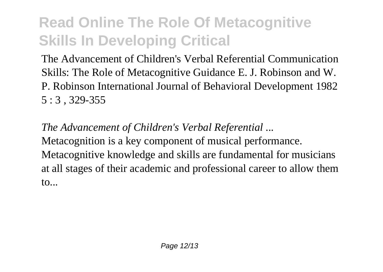The Advancement of Children's Verbal Referential Communication Skills: The Role of Metacognitive Guidance E. J. Robinson and W. P. Robinson International Journal of Behavioral Development 1982 5 : 3 , 329-355

*The Advancement of Children's Verbal Referential ...* Metacognition is a key component of musical performance. Metacognitive knowledge and skills are fundamental for musicians at all stages of their academic and professional career to allow them to...